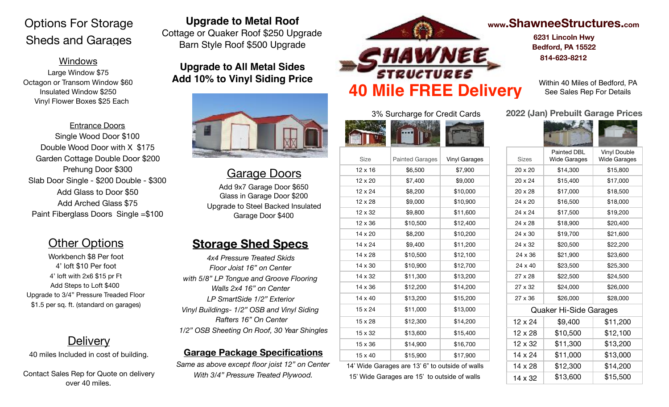# Options For Storage Sheds and Garages

#### Windows

Large Window \$75 Octagon or Transom Window \$60 Insulated Window \$250 Vinyl Flower Boxes \$25 Each

Entrance Doors Single Wood Door \$100 Double Wood Door with X \$175 Garden Cottage Double Door \$200 Prehung Door \$300 Slab Door Single - \$200 Double - \$300 Add Glass to Door \$50 Add Arched Glass \$75 Paint Fiberglass Doors Single =\$100

## **Other Options**

Workbench \$8 Per foot 4' loft \$10 Per foot 4' loft with 2x6 \$15 pr Ft Add Steps to Loft \$400 Upgrade to 3/4" Pressure Treaded Floor \$1.5 per sq. ft. (standard on garages)

## **Delivery**

40 miles Included in cost of building.

Contact Sales Rep for Quote on delivery over 40 miles.

### **Upgrade to Metal Roof**

Cottage or Quaker Roof \$250 Upgrade Barn Style Roof \$500 Upgrade

**Upgrade to All Metal Sides Add 10% to Vinyl Siding Price**



## Garage Doors

Add 9x7 Garage Door \$650 Glass in Garage Door \$200 Upgrade to Steel Backed Insulated Garage Door \$400

## **Storage Shed Specs**

*4x4 Pressure Treated Skids Floor Joist 16" on Center with 5/8" LP Tongue and Groove Flooring Walls 2x4 16" on Center LP SmartSide 1/2" Exterior Vinyl Buildings- 1/2" OSB and Vinyl Siding Rafters 16" On Center 1/2" OSB Sheeting On Roof, 30 Year Shingles* 

#### **Garage Package Specifications**

*Same as above except floor joist 12" on Center With 3/4" Pressure Treated Plywood.* 



#### 3% Surcharge for Credit Cards



| Size           | <b>Painted Garages</b> | Vinyl Garages | <b>Sizes</b>   | <b>Wide Garages</b>    | Wide Garag |
|----------------|------------------------|---------------|----------------|------------------------|------------|
| 12 x 16        | \$6,500                | \$7,900       | 20 x 20        | \$14,300               | \$15,800   |
| 12 x 20        | \$7,400                | \$9,000       | 20 x 24        | \$15,400               | \$17,000   |
| 12 x 24        | \$8,200                | \$10,000      | 20 x 28        | \$17,000               | \$18,500   |
| 12 x 28        | \$9,000                | \$10,900      | 24 x 20        | \$16,500               | \$18,000   |
| 12 x 32        | \$9,800                | \$11,600      | 24 x 24        | \$17,500               | \$19,200   |
| $12 \times 36$ | \$10,500               | \$12,400      | 24 x 28        | \$18,900               | \$20,400   |
| 14 x 20        | \$8,200                | \$10,200      | 24 x 30        | \$19,700               | \$21,600   |
| 14 x 24        | \$9,400                | \$11,200      | 24 x 32        | \$20,500               | \$22,200   |
| 14 x 28        | \$10,500               | \$12,100      | 24 x 36        | \$21,900               | \$23,600   |
| 14 x 30        | \$10,900               | \$12,700      | 24 x 40        | \$23,500               | \$25,300   |
| 14 x 32        | \$11,300               | \$13,200      | $27 \times 28$ | \$22,500               | \$24,500   |
| 14 x 36        | \$12,200               | \$14,200      | 27 x 32        | \$24,000               | \$26,000   |
| $14 \times 40$ | \$13,200               | \$15,200      | $27 \times 36$ | \$26,000               | \$28,000   |
| 15 x 24        | \$11,000               | \$13,000      |                | Quaker Hi-Side Garages |            |
| 15 x 28        | \$12,300               | \$14,200      | 12 x 24        | \$9,400                | \$11,200   |
| 15 x 32        | \$13,600               | \$15,400      | 12 x 28        | \$10,500               | \$12,100   |
| 15 x 36        | \$14,900               | \$16,700      | 12 x 32        | \$11,300               | \$13,200   |
| 15 x 40        | \$15,900               | \$17,900      | 14 x 24        | \$11,000               | \$13,000   |
|                |                        |               |                |                        |            |

14' Wide Garages are 13' 6" to outside of walls 15' Wide Garages are 15' to outside of walls

## **[www.ShawneeStructures.com](http://www.ShawneeStructures.com)**

**6231 Lincoln Hwy Bedford, PA 15522 814-623-8212** 

See Sales Rep For Details

#### **2022 (Jan) Prebuilt Garage Prices**



| <b>Sizes</b>           | <b>Painted DBL</b><br><b>Wide Garages</b> | Vinyl Double<br><b>Wide Garages</b> |  |  |
|------------------------|-------------------------------------------|-------------------------------------|--|--|
| $20 \times 20$         | \$14,300                                  | \$15,800                            |  |  |
| $20 \times 24$         | \$15,400                                  | \$17,000                            |  |  |
| 20 x 28                | \$17,000                                  | \$18,500                            |  |  |
| 24 x 20                | \$16,500                                  | \$18,000                            |  |  |
| 24 x 24                | \$17,500                                  | \$19,200                            |  |  |
| 24 x 28                | \$18,900                                  | \$20,400                            |  |  |
| 24 x 30                | \$19,700                                  | \$21,600                            |  |  |
| 24 x 32                | \$20,500                                  | \$22,200                            |  |  |
| 24 x 36                | \$21,900                                  | \$23,600                            |  |  |
| 24 x 40                | \$23,500                                  | \$25,300                            |  |  |
| $27 \times 28$         | \$22,500                                  | \$24,500                            |  |  |
| $27 \times 32$         | \$24,000                                  | \$26,000                            |  |  |
| $27 \times 36$         | \$26,000                                  | \$28,000                            |  |  |
| Quaker Hi-Side Garages |                                           |                                     |  |  |
| 12 x 24                | \$9,400                                   | \$11,200                            |  |  |
| 12 x 28                | \$10,500                                  | \$12,100                            |  |  |
| 12 x 32                | \$11,300                                  | \$13,200                            |  |  |
| 14 x 24                | \$11,000                                  | \$13,000                            |  |  |
| 14 x 28                | \$12,300                                  | \$14,200                            |  |  |
| 14 x 32                | \$13,600                                  | \$15,500                            |  |  |
|                        |                                           |                                     |  |  |